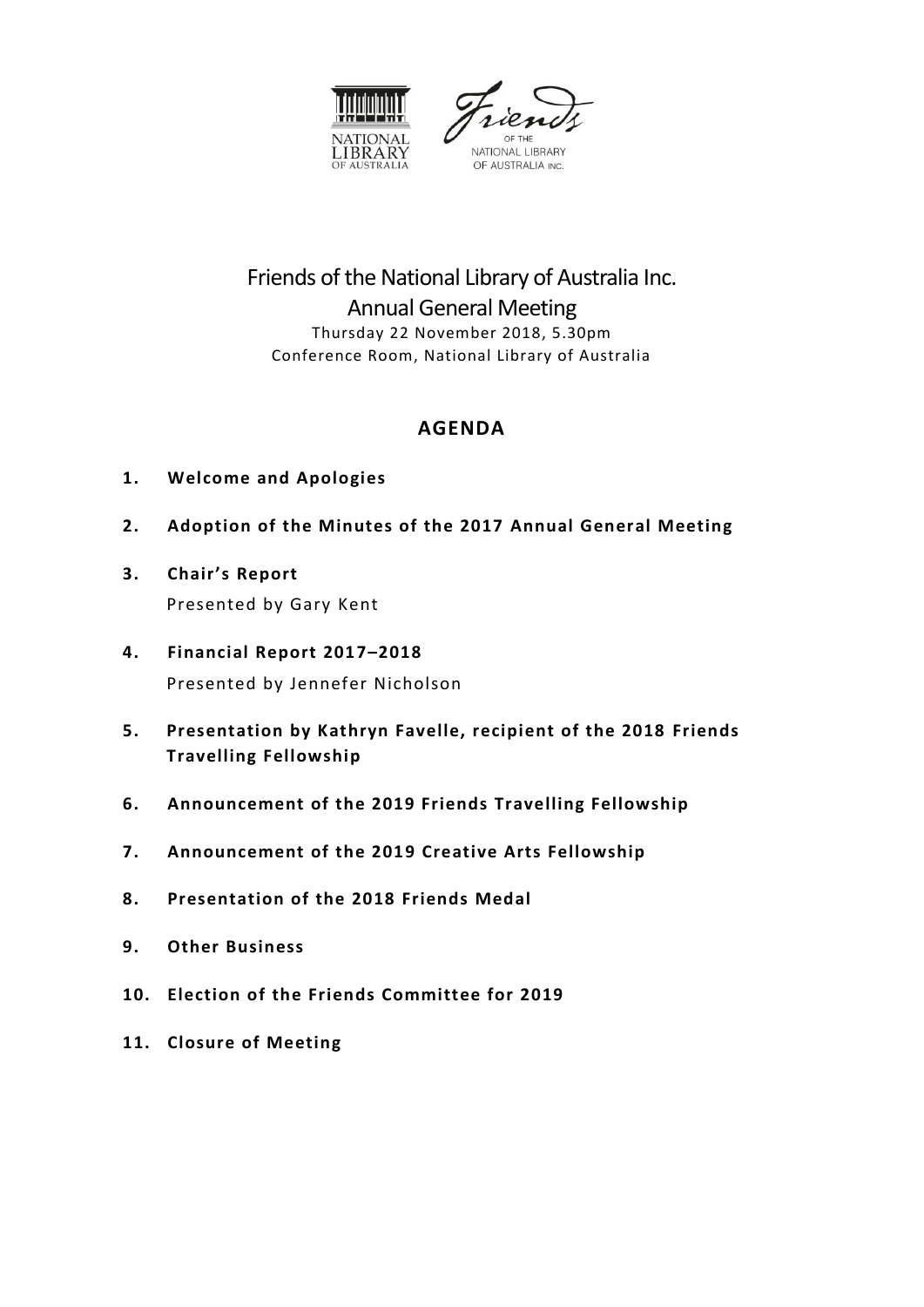



# Friends of the National Library of Australia Inc. Annual General Meeting Thursday 22 November 2018, 5.30pm Conference Room, National Library of Australia

# **AGENDA**

- **1. Welcome and Apologies**
- **2. Adoption of the Minutes of the 2017 Annual General Meeting**
- **3. Chair's Report** Presented by Gary Kent
- **4. Financial Report 2017–2018** Presented by Jennefer Nicholson
- **5. Presentation by Kathryn Favelle, recipient of the 2018 Friends Travelling Fellowship**
- **6. Announcement of the 2019 Friends Travelling Fellowship**
- **7. Announcement of the 2019 Creative Arts Fellowship**
- **8. Presentation of the 2018 Friends Medal**
- **9. Other Business**
- **10. Election of the Friends Committee for 2019**
- **11. Closure of Meeting**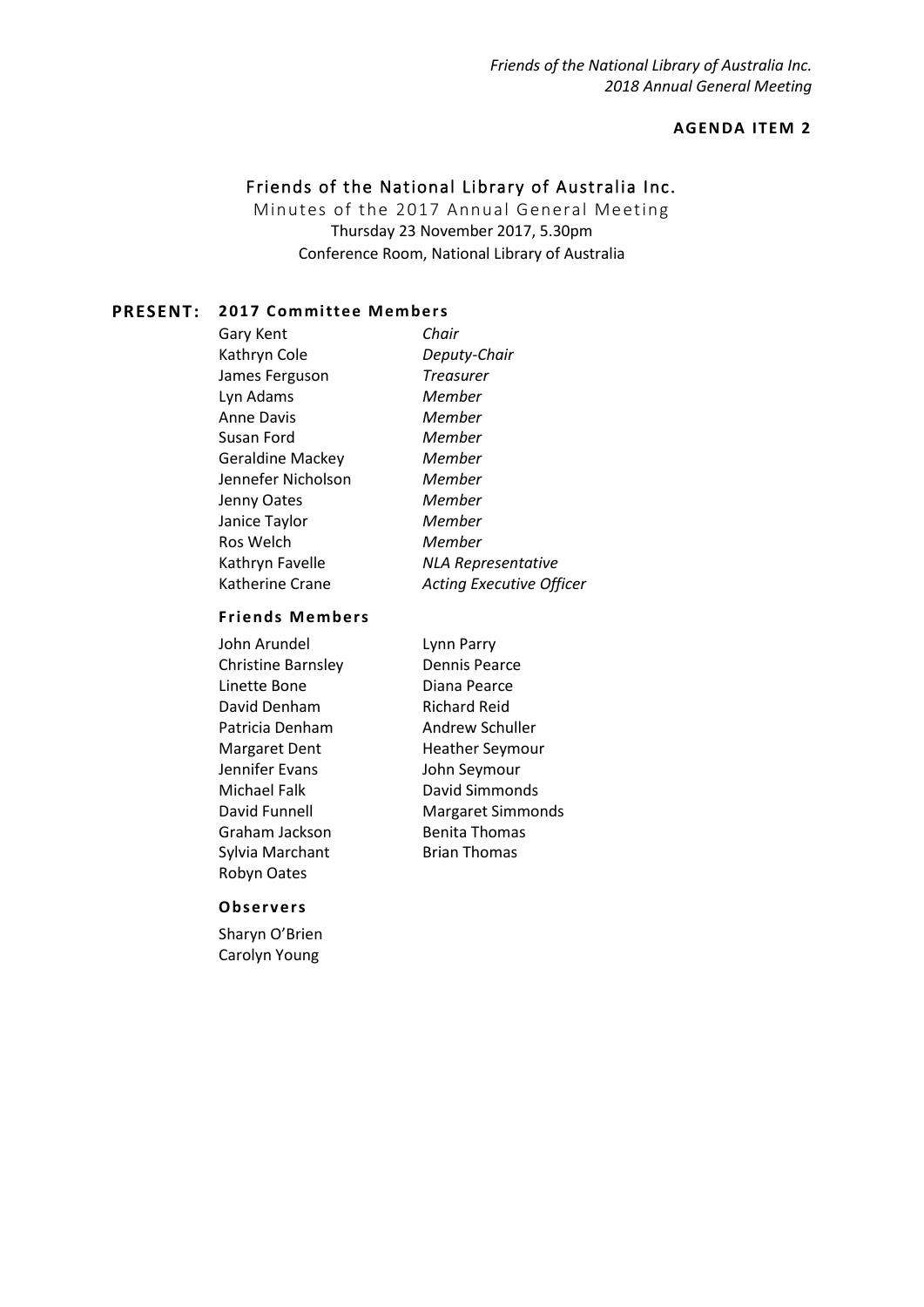# **AGENDA IT EM 2**

# Friends of the National Library of Australia Inc.

Minutes of the 2017 Annual General Meeting Thursday 23 November 2017, 5.30pm Conference Room, National Library of Australia

#### **PRESENT: 2017 Committee Members**

Gary Kent *Chair* Kathryn Cole *Deputy-Chair* James Ferguson *Treasurer* Lyn Adams *Member* Anne Davis *Member* Susan Ford *Member* Geraldine Mackey *Member* Jennefer Nicholson *Member* Jenny Oates *Member* Janice Taylor *Member* Ros Welch *Member* Katherine Crane *Acting Executive Officer*

Kathryn Favelle *NLA Representative*

#### **Friends Members**

| John Arundel              | Lynn Parry               |
|---------------------------|--------------------------|
| <b>Christine Barnsley</b> | Dennis Pearce            |
| Linette Bone              | Diana Pearce             |
| David Denham              | <b>Richard Reid</b>      |
| Patricia Denham           | Andrew Schuller          |
| Margaret Dent             | <b>Heather Seymour</b>   |
| Jennifer Evans            | John Seymour             |
| Michael Falk              | David Simmonds           |
| David Funnell             | <b>Margaret Simmonds</b> |
| Graham Jackson            | <b>Benita Thomas</b>     |
| Sylvia Marchant           | <b>Brian Thomas</b>      |
| Robyn Oates               |                          |

#### **Observ ers**

Sharyn O'Brien Carolyn Young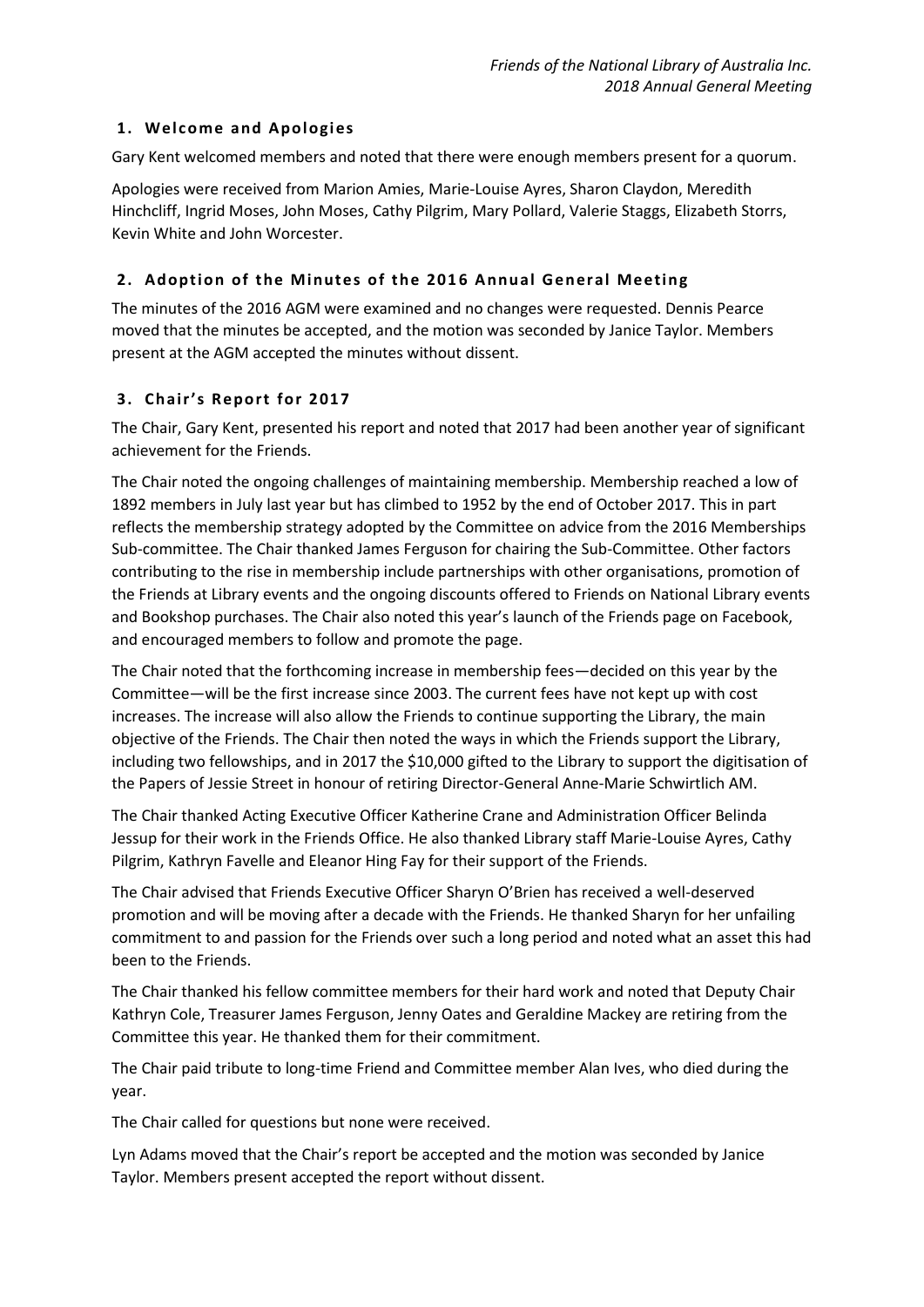## **1. Welc ome and Apologies**

Gary Kent welcomed members and noted that there were enough members present for a quorum.

Apologies were received from Marion Amies, Marie-Louise Ayres, Sharon Claydon, Meredith Hinchcliff, Ingrid Moses, John Moses, Cathy Pilgrim, Mary Pollard, Valerie Staggs, Elizabeth Storrs, Kevin White and John Worcester.

# **2. Adoption of the Minutes of the 201 6 Annual General Meeting**

The minutes of the 2016 AGM were examined and no changes were requested. Dennis Pearce moved that the minutes be accepted, and the motion was seconded by Janice Taylor. Members present at the AGM accepted the minutes without dissent.

# **3. Chair's Report for 2017**

The Chair, Gary Kent, presented his report and noted that 2017 had been another year of significant achievement for the Friends.

The Chair noted the ongoing challenges of maintaining membership. Membership reached a low of 1892 members in July last year but has climbed to 1952 by the end of October 2017. This in part reflects the membership strategy adopted by the Committee on advice from the 2016 Memberships Sub-committee. The Chair thanked James Ferguson for chairing the Sub-Committee. Other factors contributing to the rise in membership include partnerships with other organisations, promotion of the Friends at Library events and the ongoing discounts offered to Friends on National Library events and Bookshop purchases. The Chair also noted this year's launch of the Friends page on Facebook, and encouraged members to follow and promote the page.

The Chair noted that the forthcoming increase in membership fees—decided on this year by the Committee—will be the first increase since 2003. The current fees have not kept up with cost increases. The increase will also allow the Friends to continue supporting the Library, the main objective of the Friends. The Chair then noted the ways in which the Friends support the Library, including two fellowships, and in 2017 the \$10,000 gifted to the Library to support the digitisation of the Papers of Jessie Street in honour of retiring Director-General Anne-Marie Schwirtlich AM.

The Chair thanked Acting Executive Officer Katherine Crane and Administration Officer Belinda Jessup for their work in the Friends Office. He also thanked Library staff Marie-Louise Ayres, Cathy Pilgrim, Kathryn Favelle and Eleanor Hing Fay for their support of the Friends.

The Chair advised that Friends Executive Officer Sharyn O'Brien has received a well-deserved promotion and will be moving after a decade with the Friends. He thanked Sharyn for her unfailing commitment to and passion for the Friends over such a long period and noted what an asset this had been to the Friends.

The Chair thanked his fellow committee members for their hard work and noted that Deputy Chair Kathryn Cole, Treasurer James Ferguson, Jenny Oates and Geraldine Mackey are retiring from the Committee this year. He thanked them for their commitment.

The Chair paid tribute to long-time Friend and Committee member Alan Ives, who died during the year.

The Chair called for questions but none were received.

Lyn Adams moved that the Chair's report be accepted and the motion was seconded by Janice Taylor. Members present accepted the report without dissent.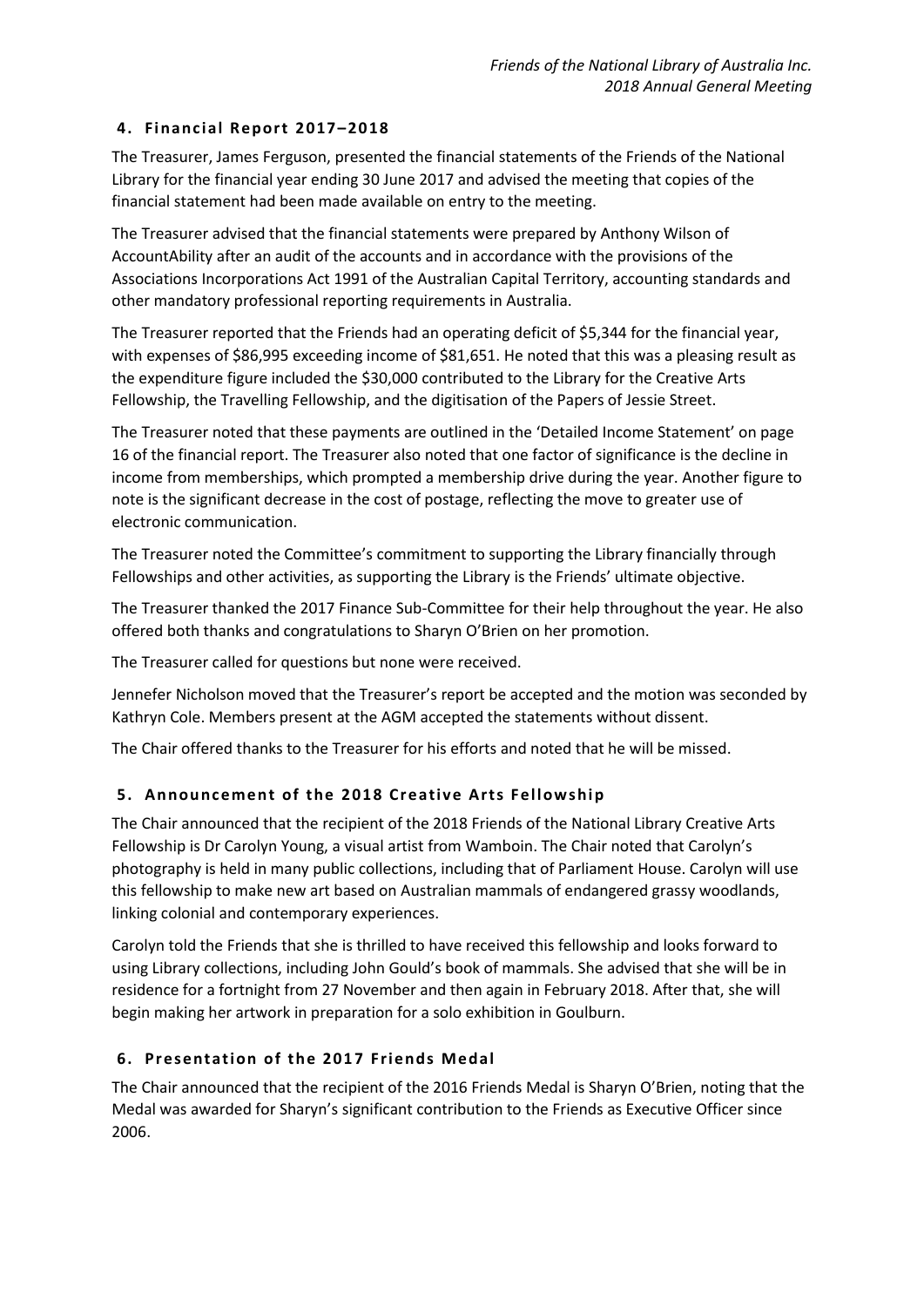## **4. Financ ial Report 2017–2018**

The Treasurer, James Ferguson, presented the financial statements of the Friends of the National Library for the financial year ending 30 June 2017 and advised the meeting that copies of the financial statement had been made available on entry to the meeting.

The Treasurer advised that the financial statements were prepared by Anthony Wilson of AccountAbility after an audit of the accounts and in accordance with the provisions of the Associations Incorporations Act 1991 of the Australian Capital Territory, accounting standards and other mandatory professional reporting requirements in Australia.

The Treasurer reported that the Friends had an operating deficit of \$5,344 for the financial year, with expenses of \$86,995 exceeding income of \$81,651. He noted that this was a pleasing result as the expenditure figure included the \$30,000 contributed to the Library for the Creative Arts Fellowship, the Travelling Fellowship, and the digitisation of the Papers of Jessie Street.

The Treasurer noted that these payments are outlined in the 'Detailed Income Statement' on page 16 of the financial report. The Treasurer also noted that one factor of significance is the decline in income from memberships, which prompted a membership drive during the year. Another figure to note is the significant decrease in the cost of postage, reflecting the move to greater use of electronic communication.

The Treasurer noted the Committee's commitment to supporting the Library financially through Fellowships and other activities, as supporting the Library is the Friends' ultimate objective.

The Treasurer thanked the 2017 Finance Sub-Committee for their help throughout the year. He also offered both thanks and congratulations to Sharyn O'Brien on her promotion.

The Treasurer called for questions but none were received.

Jennefer Nicholson moved that the Treasurer's report be accepted and the motion was seconded by Kathryn Cole. Members present at the AGM accepted the statements without dissent.

The Chair offered thanks to the Treasurer for his efforts and noted that he will be missed.

### **5.** Announcement of the 2018 Creative Arts Fellowship

The Chair announced that the recipient of the 2018 Friends of the National Library Creative Arts Fellowship is Dr Carolyn Young, a visual artist from Wamboin. The Chair noted that Carolyn's photography is held in many public collections, including that of Parliament House. Carolyn will use this fellowship to make new art based on Australian mammals of endangered grassy woodlands, linking colonial and contemporary experiences.

Carolyn told the Friends that she is thrilled to have received this fellowship and looks forward to using Library collections, including John Gould's book of mammals. She advised that she will be in residence for a fortnight from 27 November and then again in February 2018. After that, she will begin making her artwork in preparation for a solo exhibition in Goulburn.

### **6. Presentation of the 2017 Friends Medal**

The Chair announced that the recipient of the 2016 Friends Medal is Sharyn O'Brien, noting that the Medal was awarded for Sharyn's significant contribution to the Friends as Executive Officer since 2006.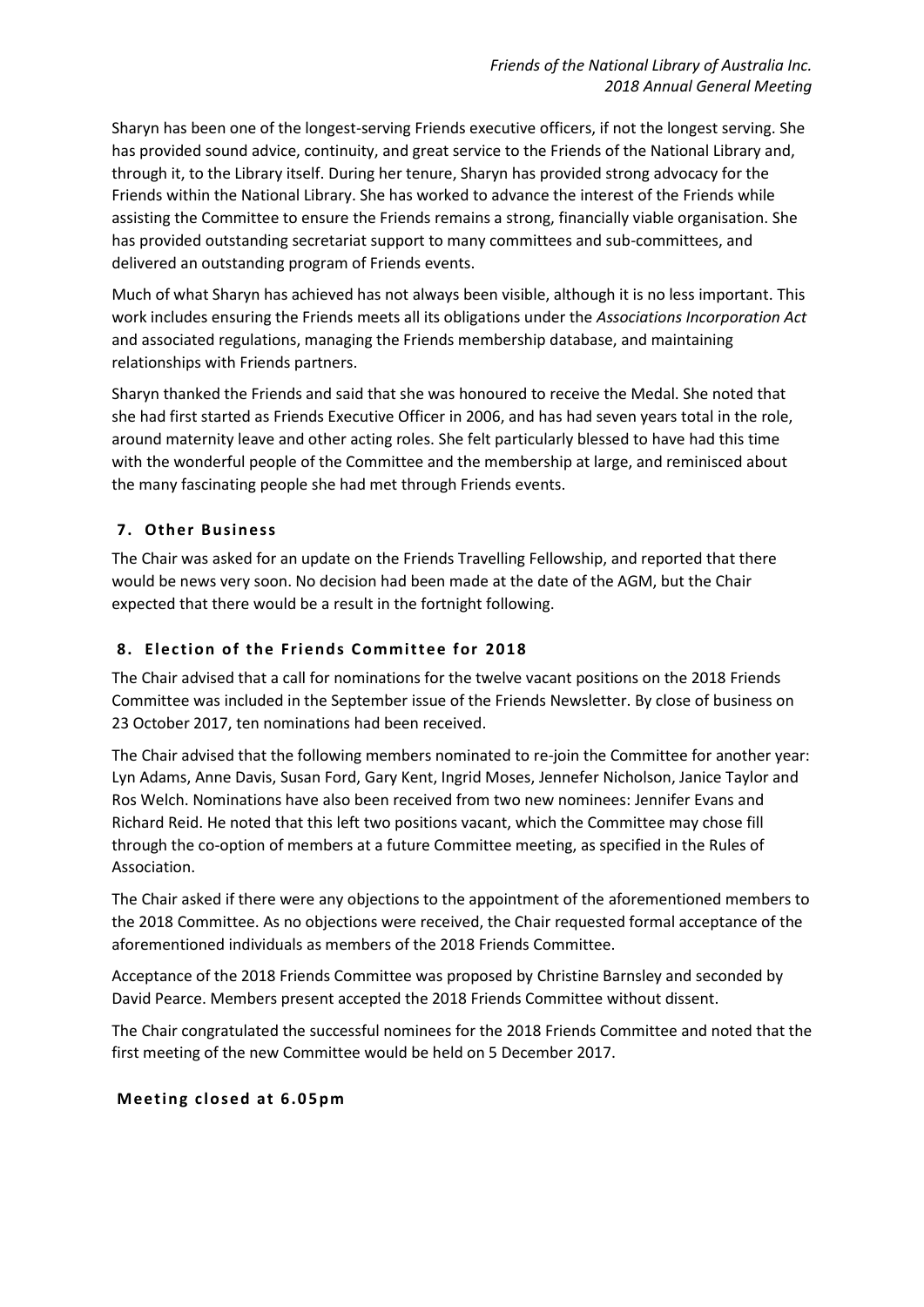Sharyn has been one of the longest-serving Friends executive officers, if not the longest serving. She has provided sound advice, continuity, and great service to the Friends of the National Library and, through it, to the Library itself. During her tenure, Sharyn has provided strong advocacy for the Friends within the National Library. She has worked to advance the interest of the Friends while assisting the Committee to ensure the Friends remains a strong, financially viable organisation. She has provided outstanding secretariat support to many committees and sub-committees, and delivered an outstanding program of Friends events.

Much of what Sharyn has achieved has not always been visible, although it is no less important. This work includes ensuring the Friends meets all its obligations under the *Associations Incorporation Act* and associated regulations, managing the Friends membership database, and maintaining relationships with Friends partners.

Sharyn thanked the Friends and said that she was honoured to receive the Medal. She noted that she had first started as Friends Executive Officer in 2006, and has had seven years total in the role, around maternity leave and other acting roles. She felt particularly blessed to have had this time with the wonderful people of the Committee and the membership at large, and reminisced about the many fascinating people she had met through Friends events.

# **7. Other Business**

The Chair was asked for an update on the Friends Travelling Fellowship, and reported that there would be news very soon. No decision had been made at the date of the AGM, but the Chair expected that there would be a result in the fortnight following.

## **8. Elec tion of the Friends Committee for 2018**

The Chair advised that a call for nominations for the twelve vacant positions on the 2018 Friends Committee was included in the September issue of the Friends Newsletter. By close of business on 23 October 2017, ten nominations had been received.

The Chair advised that the following members nominated to re-join the Committee for another year: Lyn Adams, Anne Davis, Susan Ford, Gary Kent, Ingrid Moses, Jennefer Nicholson, Janice Taylor and Ros Welch. Nominations have also been received from two new nominees: Jennifer Evans and Richard Reid. He noted that this left two positions vacant, which the Committee may chose fill through the co-option of members at a future Committee meeting, as specified in the Rules of Association.

The Chair asked if there were any objections to the appointment of the aforementioned members to the 2018 Committee. As no objections were received, the Chair requested formal acceptance of the aforementioned individuals as members of the 2018 Friends Committee.

Acceptance of the 2018 Friends Committee was proposed by Christine Barnsley and seconded by David Pearce. Members present accepted the 2018 Friends Committee without dissent.

The Chair congratulated the successful nominees for the 2018 Friends Committee and noted that the first meeting of the new Committee would be held on 5 December 2017.

### **Meeting c losed at 6.0 5pm**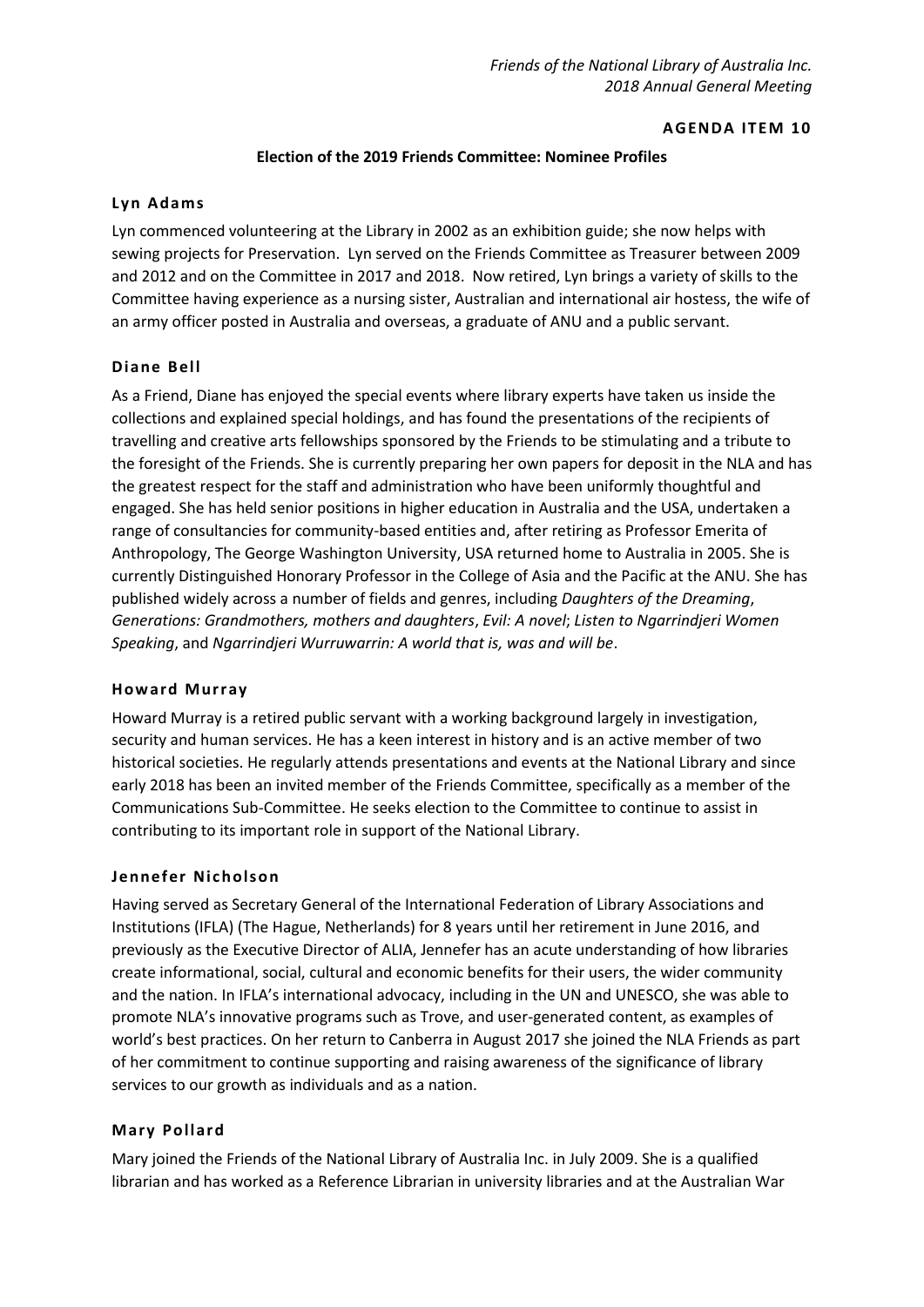#### **AGENDA ITEM 10**

#### **Election of the 2019 Friends Committee: Nominee Profiles**

#### **Lyn Adams**

Lyn commenced volunteering at the Library in 2002 as an exhibition guide; she now helps with sewing projects for Preservation. Lyn served on the Friends Committee as Treasurer between 2009 and 2012 and on the Committee in 2017 and 2018. Now retired, Lyn brings a variety of skills to the Committee having experience as a nursing sister, Australian and international air hostess, the wife of an army officer posted in Australia and overseas, a graduate of ANU and a public servant.

### **Diane Bell**

As a Friend, Diane has enjoyed the special events where library experts have taken us inside the collections and explained special holdings, and has found the presentations of the recipients of travelling and creative arts fellowships sponsored by the Friends to be stimulating and a tribute to the foresight of the Friends. She is currently preparing her own papers for deposit in the NLA and has the greatest respect for the staff and administration who have been uniformly thoughtful and engaged. She has held senior positions in higher education in Australia and the USA, undertaken a range of consultancies for community-based entities and, after retiring as Professor Emerita of Anthropology, The George Washington University, USA returned home to Australia in 2005. She is currently Distinguished Honorary Professor in the College of Asia and the Pacific at the ANU. She has published widely across a number of fields and genres, including *Daughters of the Dreaming*, *Generations: Grandmothers, mothers and daughters*, *Evil: A novel*; *Listen to Ngarrindjeri Women Speaking*, and *Ngarrindjeri Wurruwarrin: A world that is, was and will be*.

#### **How ard Murray**

Howard Murray is a retired public servant with a working background largely in investigation, security and human services. He has a keen interest in history and is an active member of two historical societies. He regularly attends presentations and events at the National Library and since early 2018 has been an invited member of the Friends Committee, specifically as a member of the Communications Sub-Committee. He seeks election to the Committee to continue to assist in contributing to its important role in support of the National Library.

### **Jennefer Nic holson**

Having served as Secretary General of the International Federation of Library Associations and Institutions (IFLA) (The Hague, Netherlands) for 8 years until her retirement in June 2016, and previously as the Executive Director of ALIA, Jennefer has an acute understanding of how libraries create informational, social, cultural and economic benefits for their users, the wider community and the nation. In IFLA's international advocacy, including in the UN and UNESCO, she was able to promote NLA's innovative programs such as Trove, and user-generated content, as examples of world's best practices. On her return to Canberra in August 2017 she joined the NLA Friends as part of her commitment to continue supporting and raising awareness of the significance of library services to our growth as individuals and as a nation.

### **Mary Pollard**

Mary joined the Friends of the National Library of Australia Inc. in July 2009. She is a qualified librarian and has worked as a Reference Librarian in university libraries and at the Australian War